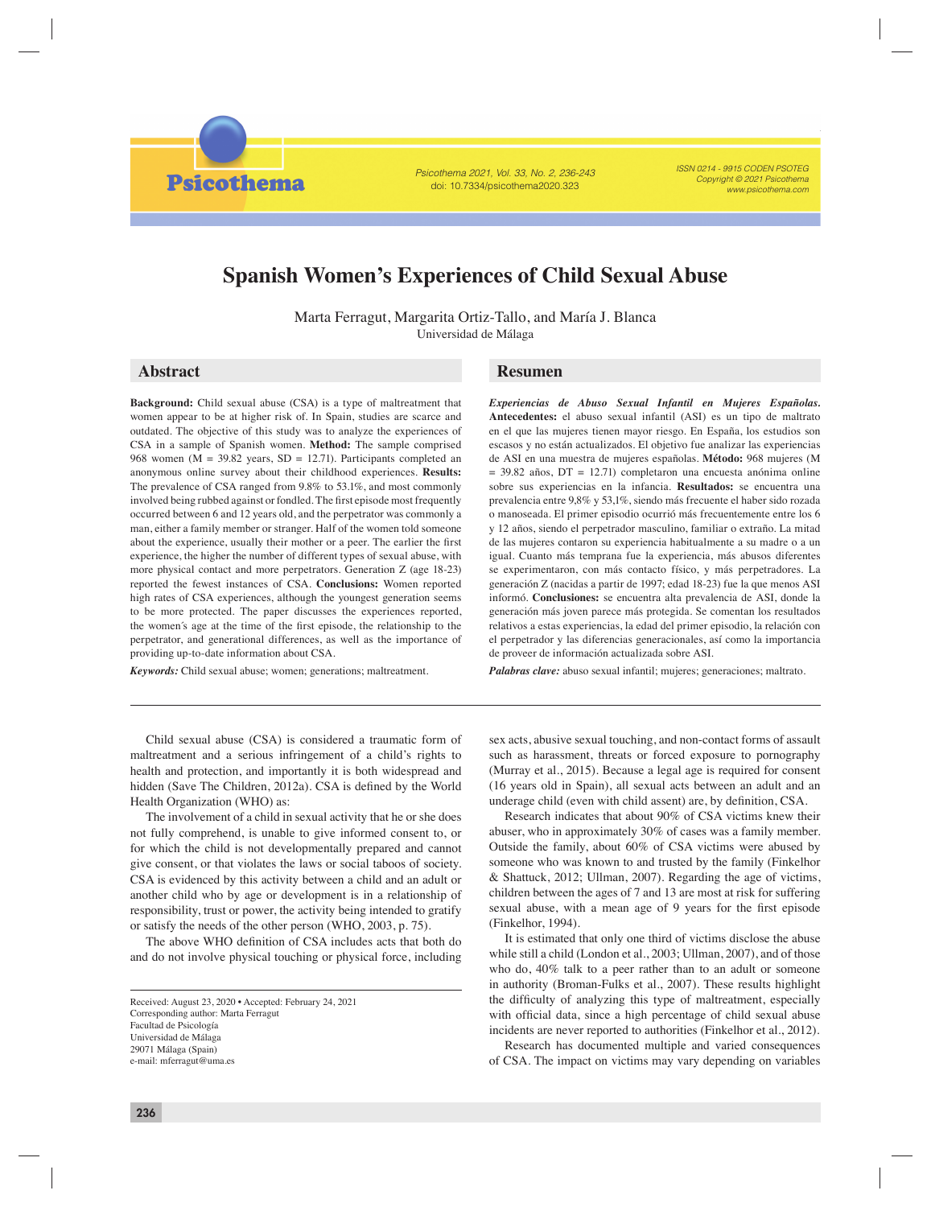Psicothema 2021, Vol. 33, No. 2, 236-243 doi: 10.7334/psicothema2020.323

ISSN 0214 - 9915 CODEN PSOTEG Copyright © 2021 Psicothema www.psicothema.com

# **Spanish Women's Experiences of Child Sexual Abuse**

Marta Ferragut, Margarita Ortiz-Tallo, and María J. Blanca Universidad de Málaga

**Psicothema** 

**Background:** Child sexual abuse (CSA) is a type of maltreatment that women appear to be at higher risk of. In Spain, studies are scarce and outdated. The objective of this study was to analyze the experiences of CSA in a sample of Spanish women. **Method:** The sample comprised 968 women ( $M = 39.82$  years,  $SD = 12.71$ ). Participants completed an anonymous online survey about their childhood experiences. **Results:**  The prevalence of CSA ranged from 9.8% to 53.1%, and most commonly involved being rubbed against or fondled. The first episode most frequently occurred between 6 and 12 years old, and the perpetrator was commonly a man, either a family member or stranger. Half of the women told someone about the experience, usually their mother or a peer. The earlier the first experience, the higher the number of different types of sexual abuse, with more physical contact and more perpetrators. Generation Z (age 18-23) reported the fewest instances of CSA. **Conclusions:** Women reported high rates of CSA experiences, although the youngest generation seems to be more protected. The paper discusses the experiences reported, the women's age at the time of the first episode, the relationship to the perpetrator, and generational differences, as well as the importance of providing up-to-date information about CSA.

*Keywords:* Child sexual abuse; women; generations; maltreatment.

# **Abstract Resumen**

*Experiencias de Abuso Sexual Infantil en Mujeres Españolas.* **Antecedentes:** el abuso sexual infantil (ASI) es un tipo de maltrato en el que las mujeres tienen mayor riesgo. En España, los estudios son escasos y no están actualizados. El objetivo fue analizar las experiencias de ASI en una muestra de mujeres españolas. **Método:** 968 mujeres (M = 39.82 años, DT = 12.71) completaron una encuesta anónima online sobre sus experiencias en la infancia. **Resultados:** se encuentra una prevalencia entre 9,8% y 53,1%, siendo más frecuente el haber sido rozada o manoseada. El primer episodio ocurrió más frecuentemente entre los 6 y 12 años, siendo el perpetrador masculino, familiar o extraño. La mitad de las mujeres contaron su experiencia habitualmente a su madre o a un igual. Cuanto más temprana fue la experiencia, más abusos diferentes se experimentaron, con más contacto físico, y más perpetradores. La generación Z (nacidas a partir de 1997; edad 18-23) fue la que menos ASI informó. **Conclusiones:** se encuentra alta prevalencia de ASI, donde la generación más joven parece más protegida. Se comentan los resultados relativos a estas experiencias, la edad del primer episodio, la relación con el perpetrador y las diferencias generacionales, así como la importancia de proveer de información actualizada sobre ASI.

*Palabras clave:* abuso sexual infantil; mujeres; generaciones; maltrato.

Child sexual abuse (CSA) is considered a traumatic form of maltreatment and a serious infringement of a child's rights to health and protection, and importantly it is both widespread and hidden (Save The Children, 2012a). CSA is defined by the World Health Organization (WHO) as:

The involvement of a child in sexual activity that he or she does not fully comprehend, is unable to give informed consent to, or for which the child is not developmentally prepared and cannot give consent, or that violates the laws or social taboos of society. CSA is evidenced by this activity between a child and an adult or another child who by age or development is in a relationship of responsibility, trust or power, the activity being intended to gratify or satisfy the needs of the other person (WHO, 2003, p. 75).

The above WHO definition of CSA includes acts that both do and do not involve physical touching or physical force, including sex acts, abusive sexual touching, and non-contact forms of assault such as harassment, threats or forced exposure to pornography (Murray et al., 2015). Because a legal age is required for consent (16 years old in Spain), all sexual acts between an adult and an underage child (even with child assent) are, by definition, CSA.

Research indicates that about 90% of CSA victims knew their abuser, who in approximately 30% of cases was a family member. Outside the family, about 60% of CSA victims were abused by someone who was known to and trusted by the family (Finkelhor & Shattuck, 2012; Ullman, 2007). Regarding the age of victims, children between the ages of 7 and 13 are most at risk for suffering sexual abuse, with a mean age of 9 years for the first episode (Finkelhor, 1994).

It is estimated that only one third of victims disclose the abuse while still a child (London et al., 2003; Ullman, 2007), and of those who do, 40% talk to a peer rather than to an adult or someone in authority (Broman-Fulks et al., 2007). These results highlight the difficulty of analyzing this type of maltreatment, especially with official data, since a high percentage of child sexual abuse incidents are never reported to authorities (Finkelhor et al., 2012).

Research has documented multiple and varied consequences of CSA. The impact on victims may vary depending on variables

Received: August 23, 2020 • Accepted: February 24, 2021 Corresponding author: Marta Ferragut Facultad de Psicología Universidad de Málaga 29071 Málaga (Spain) e-mail: mferragut@uma.es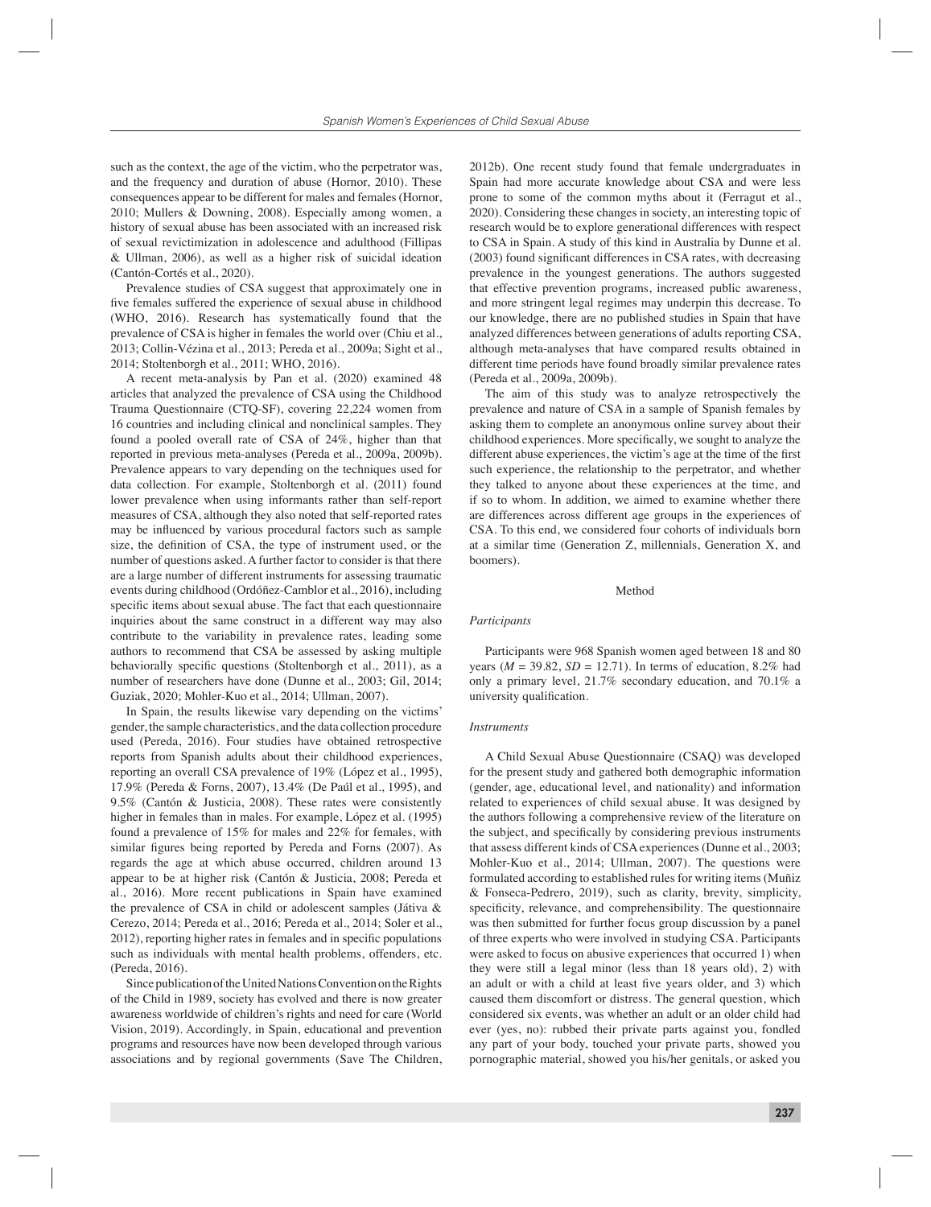such as the context, the age of the victim, who the perpetrator was, and the frequency and duration of abuse (Hornor, 2010). These consequences appear to be different for males and females (Hornor, 2010; Mullers & Downing, 2008). Especially among women, a history of sexual abuse has been associated with an increased risk of sexual revictimization in adolescence and adulthood (Fillipas & Ullman, 2006), as well as a higher risk of suicidal ideation (Cantón-Cortés et al., 2020).

Prevalence studies of CSA suggest that approximately one in five females suffered the experience of sexual abuse in childhood (WHO, 2016). Research has systematically found that the prevalence of CSA is higher in females the world over (Chiu et al., 2013; Collin-Vézina et al., 2013; Pereda et al., 2009a; Sight et al., 2014; Stoltenborgh et al., 2011; WHO, 2016).

A recent meta-analysis by Pan et al. (2020) examined 48 articles that analyzed the prevalence of CSA using the Childhood Trauma Questionnaire (CTQ-SF), covering 22,224 women from 16 countries and including clinical and nonclinical samples. They found a pooled overall rate of CSA of 24%, higher than that reported in previous meta-analyses (Pereda et al., 2009a, 2009b). Prevalence appears to vary depending on the techniques used for data collection. For example, Stoltenborgh et al. (2011) found lower prevalence when using informants rather than self-report measures of CSA, although they also noted that self-reported rates may be influenced by various procedural factors such as sample size, the definition of CSA, the type of instrument used, or the number of questions asked. A further factor to consider is that there are a large number of different instruments for assessing traumatic events during childhood (Ordóñez-Camblor et al., 2016), including specific items about sexual abuse. The fact that each questionnaire inquiries about the same construct in a different way may also contribute to the variability in prevalence rates, leading some authors to recommend that CSA be assessed by asking multiple behaviorally specific questions (Stoltenborgh et al., 2011), as a number of researchers have done (Dunne et al., 2003; Gil, 2014; Guziak, 2020; Mohler-Kuo et al., 2014; Ullman, 2007).

In Spain, the results likewise vary depending on the victims' gender, the sample characteristics, and the data collection procedure used (Pereda, 2016). Four studies have obtained retrospective reports from Spanish adults about their childhood experiences, reporting an overall CSA prevalence of 19% (López et al., 1995), 17.9% (Pereda & Forns, 2007), 13.4% (De Paúl et al., 1995), and 9.5% (Cantón & Justicia, 2008). These rates were consistently higher in females than in males. For example, López et al. (1995) found a prevalence of 15% for males and 22% for females, with similar figures being reported by Pereda and Forns (2007). As regards the age at which abuse occurred, children around 13 appear to be at higher risk (Cantón & Justicia, 2008; Pereda et al., 2016). More recent publications in Spain have examined the prevalence of CSA in child or adolescent samples (Játiva & Cerezo, 2014; Pereda et al., 2016; Pereda et al., 2014; Soler et al., 2012), reporting higher rates in females and in specific populations such as individuals with mental health problems, offenders, etc. (Pereda, 2016).

Since publication of the United Nations Convention on the Rights of the Child in 1989, society has evolved and there is now greater awareness worldwide of children's rights and need for care (World Vision, 2019). Accordingly, in Spain, educational and prevention programs and resources have now been developed through various associations and by regional governments (Save The Children,

2012b). One recent study found that female undergraduates in Spain had more accurate knowledge about CSA and were less prone to some of the common myths about it (Ferragut et al., 2020). Considering these changes in society, an interesting topic of research would be to explore generational differences with respect to CSA in Spain. A study of this kind in Australia by Dunne et al.  $(2003)$  found significant differences in CSA rates, with decreasing prevalence in the youngest generations. The authors suggested that effective prevention programs, increased public awareness, and more stringent legal regimes may underpin this decrease. To our knowledge, there are no published studies in Spain that have analyzed differences between generations of adults reporting CSA, although meta-analyses that have compared results obtained in different time periods have found broadly similar prevalence rates (Pereda et al., 2009a, 2009b).

The aim of this study was to analyze retrospectively the prevalence and nature of CSA in a sample of Spanish females by asking them to complete an anonymous online survey about their childhood experiences. More specifically, we sought to analyze the different abuse experiences, the victim's age at the time of the first such experience, the relationship to the perpetrator, and whether they talked to anyone about these experiences at the time, and if so to whom. In addition, we aimed to examine whether there are differences across different age groups in the experiences of CSA. To this end, we considered four cohorts of individuals born at a similar time (Generation Z, millennials, Generation X, and boomers).

## Method

#### *Participants*

Participants were 968 Spanish women aged between 18 and 80 years  $(M = 39.82, SD = 12.71)$ . In terms of education, 8.2% had only a primary level, 21.7% secondary education, and 70.1% a university qualification.

#### *Instruments*

A Child Sexual Abuse Questionnaire (CSAQ) was developed for the present study and gathered both demographic information (gender, age, educational level, and nationality) and information related to experiences of child sexual abuse. It was designed by the authors following a comprehensive review of the literature on the subject, and specifically by considering previous instruments that assess different kinds of CSA experiences (Dunne et al., 2003; Mohler-Kuo et al., 2014; Ullman, 2007). The questions were formulated according to established rules for writing items (Muñiz & Fonseca-Pedrero, 2019), such as clarity, brevity, simplicity, specificity, relevance, and comprehensibility. The questionnaire was then submitted for further focus group discussion by a panel of three experts who were involved in studying CSA. Participants were asked to focus on abusive experiences that occurred 1) when they were still a legal minor (less than 18 years old), 2) with an adult or with a child at least five years older, and 3) which caused them discomfort or distress. The general question, which considered six events, was whether an adult or an older child had ever (yes, no): rubbed their private parts against you, fondled any part of your body, touched your private parts, showed you pornographic material, showed you his/her genitals, or asked you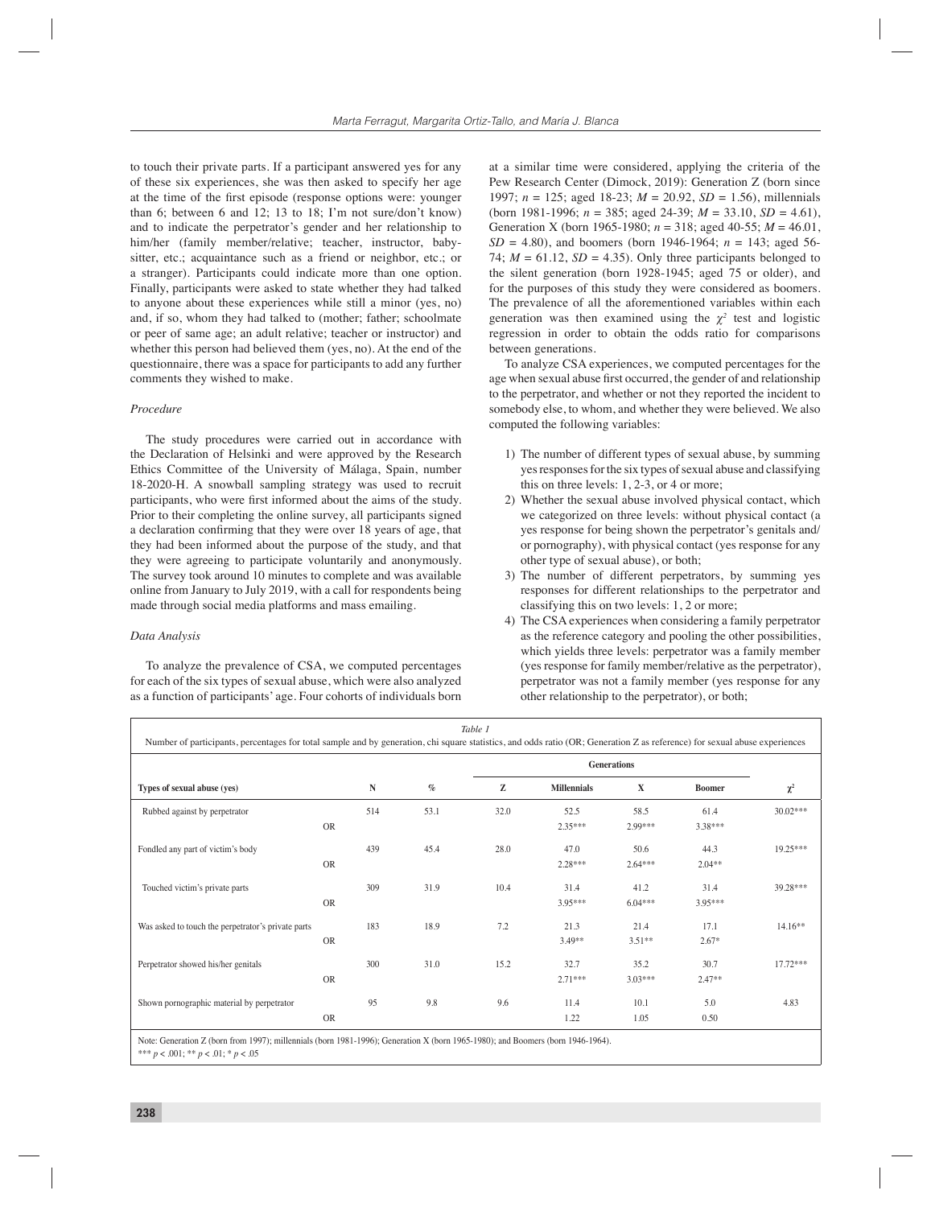to touch their private parts. If a participant answered yes for any of these six experiences, she was then asked to specify her age at the time of the first episode (response options were: younger than 6; between 6 and 12; 13 to 18; I'm not sure/don't know) and to indicate the perpetrator's gender and her relationship to him/her (family member/relative; teacher, instructor, babysitter, etc.; acquaintance such as a friend or neighbor, etc.; or a stranger). Participants could indicate more than one option. Finally, participants were asked to state whether they had talked to anyone about these experiences while still a minor (yes, no) and, if so, whom they had talked to (mother; father; schoolmate or peer of same age; an adult relative; teacher or instructor) and whether this person had believed them (yes, no). At the end of the questionnaire, there was a space for participants to add any further comments they wished to make.

# *Procedure*

The study procedures were carried out in accordance with the Declaration of Helsinki and were approved by the Research Ethics Committee of the University of Málaga, Spain, number 18-2020-H. A snowball sampling strategy was used to recruit participants, who were first informed about the aims of the study. Prior to their completing the online survey, all participants signed a declaration confirming that they were over 18 years of age, that they had been informed about the purpose of the study, and that they were agreeing to participate voluntarily and anonymously. The survey took around 10 minutes to complete and was available online from January to July 2019, with a call for respondents being made through social media platforms and mass emailing.

# *Data Analysis*

To analyze the prevalence of CSA, we computed percentages for each of the six types of sexual abuse, which were also analyzed as a function of participants' age. Four cohorts of individuals born at a similar time were considered, applying the criteria of the Pew Research Center (Dimock, 2019): Generation Z (born since 1997; *n* = 125; aged 18-23; *M* = 20.92, *SD* = 1.56), millennials (born 1981-1996; *n* = 385; aged 24-39; *M* = 33.10, *SD* = 4.61), Generation X (born 1965-1980;  $n = 318$ ; aged 40-55;  $M = 46.01$ ,  $SD = 4.80$ , and boomers (born 1946-1964;  $n = 143$ ; aged 56-74;  $M = 61.12$ ,  $SD = 4.35$ ). Only three participants belonged to the silent generation (born 1928-1945; aged 75 or older), and for the purposes of this study they were considered as boomers. The prevalence of all the aforementioned variables within each generation was then examined using the  $\chi^2$  test and logistic regression in order to obtain the odds ratio for comparisons between generations.

To analyze CSA experiences, we computed percentages for the age when sexual abuse first occurred, the gender of and relationship to the perpetrator, and whether or not they reported the incident to somebody else, to whom, and whether they were believed. We also computed the following variables:

- 1) The number of different types of sexual abuse, by summing yes responses for the six types of sexual abuse and classifying this on three levels: 1, 2-3, or 4 or more;
- 2) Whether the sexual abuse involved physical contact, which we categorized on three levels: without physical contact (a yes response for being shown the perpetrator's genitals and/ or pornography), with physical contact (yes response for any other type of sexual abuse), or both;
- 3) The number of different perpetrators, by summing yes responses for different relationships to the perpetrator and classifying this on two levels: 1, 2 or more;
- 4) The CSA experiences when considering a family perpetrator as the reference category and pooling the other possibilities, which yields three levels: perpetrator was a family member (yes response for family member/relative as the perpetrator), perpetrator was not a family member (yes response for any other relationship to the perpetrator), or both;

| Table 1<br>Number of participants, percentages for total sample and by generation, chi square statistics, and odds ratio (OR; Generation Z as reference) for sexual abuse experiences |           |           |      |      |                    |                   |                   |            |  |
|---------------------------------------------------------------------------------------------------------------------------------------------------------------------------------------|-----------|-----------|------|------|--------------------|-------------------|-------------------|------------|--|
|                                                                                                                                                                                       |           |           |      |      |                    |                   |                   |            |  |
| Types of sexual abuse (yes)                                                                                                                                                           |           | ${\bf N}$ | $\%$ | z    | <b>Millennials</b> | $\mathbf X$       | <b>Boomer</b>     | $\chi^2$   |  |
| Rubbed against by perpetrator                                                                                                                                                         | <b>OR</b> | 514       | 53.1 | 32.0 | 52.5<br>$2.35***$  | 58.5<br>2.99***   | 61.4<br>3.38***   | $30.02***$ |  |
| Fondled any part of victim's body                                                                                                                                                     | <b>OR</b> | 439       | 45.4 | 28.0 | 47.0<br>$2.28***$  | 50.6<br>$2.64***$ | 44.3<br>$2.04**$  | 19.25***   |  |
| Touched victim's private parts                                                                                                                                                        | <b>OR</b> | 309       | 31.9 | 10.4 | 31.4<br>3.95***    | 41.2<br>$6.04***$ | 31.4<br>$3.95***$ | 39.28***   |  |
| Was asked to touch the perpetrator's private parts                                                                                                                                    | <b>OR</b> | 183       | 18.9 | 7.2  | 21.3<br>$3.49**$   | 21.4<br>$3.51**$  | 17.1<br>$2.67*$   | 14.16**    |  |
| Perpetrator showed his/her genitals                                                                                                                                                   | <b>OR</b> | 300       | 31.0 | 15.2 | 32.7<br>$2.71***$  | 35.2<br>$3.03***$ | 30.7<br>$2.47**$  | $17.72***$ |  |
| Shown pornographic material by perpetrator                                                                                                                                            | <b>OR</b> | 95        | 9.8  | 9.6  | 11.4<br>1.22       | 10.1<br>1.05      | 5.0<br>0.50       | 4.83       |  |

Note: Generation Z (born from 1997); millennials (born 1981-1996); Generation X (born 1965-1980); and Boomers (born 1946-1964). \*\*\* *p* < .001; \*\* *p* < .01; \* *p* < .05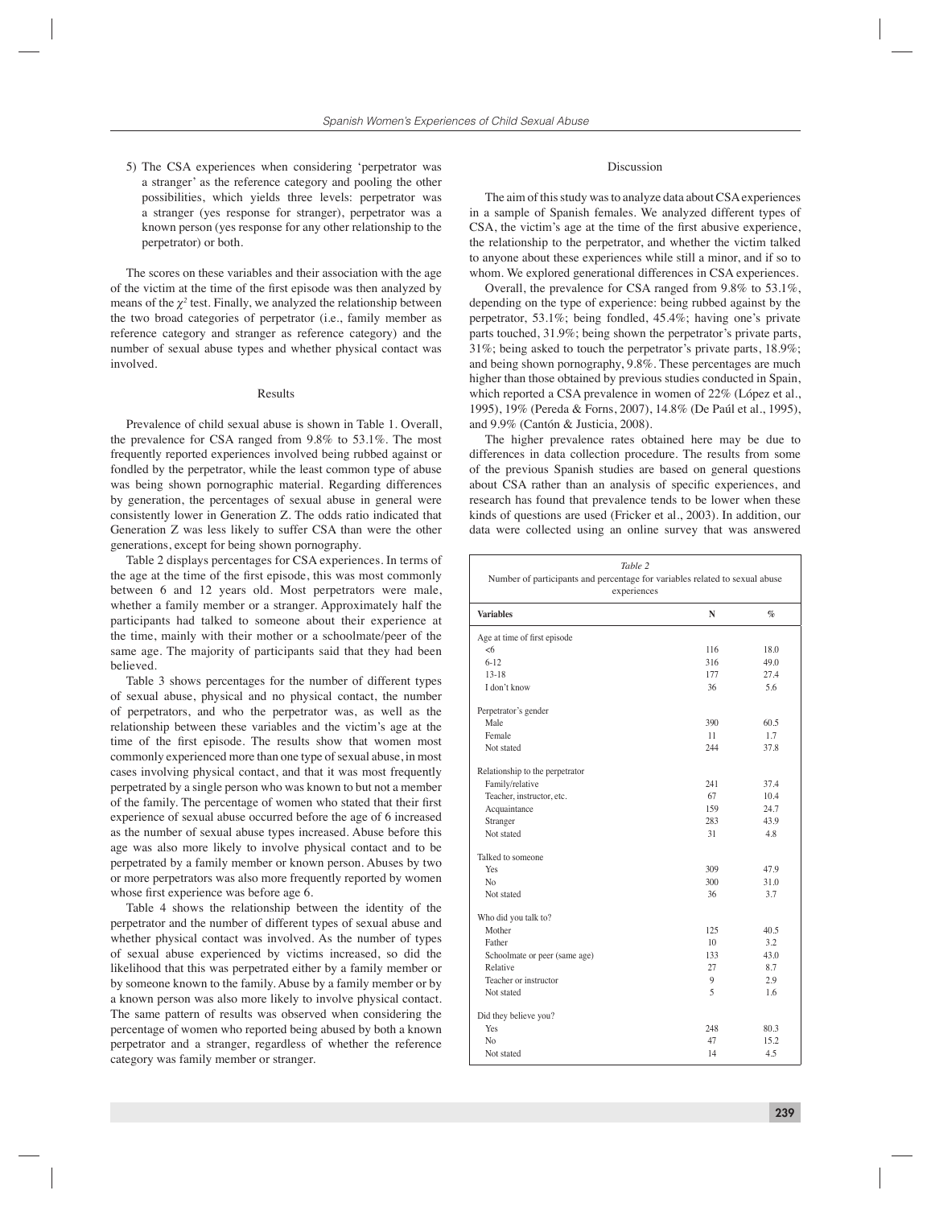5) The CSA experiences when considering 'perpetrator was a stranger' as the reference category and pooling the other possibilities, which yields three levels: perpetrator was a stranger (yes response for stranger), perpetrator was a known person (yes response for any other relationship to the perpetrator) or both.

The scores on these variables and their association with the age of the victim at the time of the first episode was then analyzed by means of the  $\chi^2$  test. Finally, we analyzed the relationship between the two broad categories of perpetrator (i.e., family member as reference category and stranger as reference category) and the number of sexual abuse types and whether physical contact was involved.

## Results

Prevalence of child sexual abuse is shown in Table 1. Overall, the prevalence for CSA ranged from 9.8% to 53.1%. The most frequently reported experiences involved being rubbed against or fondled by the perpetrator, while the least common type of abuse was being shown pornographic material. Regarding differences by generation, the percentages of sexual abuse in general were consistently lower in Generation Z. The odds ratio indicated that Generation Z was less likely to suffer CSA than were the other generations, except for being shown pornography.

Table 2 displays percentages for CSA experiences. In terms of the age at the time of the first episode, this was most commonly between 6 and 12 years old. Most perpetrators were male, whether a family member or a stranger. Approximately half the participants had talked to someone about their experience at the time, mainly with their mother or a schoolmate/peer of the same age. The majority of participants said that they had been believed.

Table 3 shows percentages for the number of different types of sexual abuse, physical and no physical contact, the number of perpetrators, and who the perpetrator was, as well as the relationship between these variables and the victim's age at the time of the first episode. The results show that women most commonly experienced more than one type of sexual abuse, in most cases involving physical contact, and that it was most frequently perpetrated by a single person who was known to but not a member of the family. The percentage of women who stated that their first experience of sexual abuse occurred before the age of 6 increased as the number of sexual abuse types increased. Abuse before this age was also more likely to involve physical contact and to be perpetrated by a family member or known person. Abuses by two or more perpetrators was also more frequently reported by women whose first experience was before age 6.

Table 4 shows the relationship between the identity of the perpetrator and the number of different types of sexual abuse and whether physical contact was involved. As the number of types of sexual abuse experienced by victims increased, so did the likelihood that this was perpetrated either by a family member or by someone known to the family. Abuse by a family member or by a known person was also more likely to involve physical contact. The same pattern of results was observed when considering the percentage of women who reported being abused by both a known perpetrator and a stranger, regardless of whether the reference category was family member or stranger.

## Discussion

The aim of this study was to analyze data about CSA experiences in a sample of Spanish females. We analyzed different types of CSA, the victim's age at the time of the first abusive experience, the relationship to the perpetrator, and whether the victim talked to anyone about these experiences while still a minor, and if so to whom. We explored generational differences in CSA experiences.

Overall, the prevalence for CSA ranged from 9.8% to 53.1%, depending on the type of experience: being rubbed against by the perpetrator, 53.1%; being fondled, 45.4%; having one's private parts touched, 31.9%; being shown the perpetrator's private parts, 31%; being asked to touch the perpetrator's private parts, 18.9%; and being shown pornography, 9.8%. These percentages are much higher than those obtained by previous studies conducted in Spain, which reported a CSA prevalence in women of 22% (López et al., 1995), 19% (Pereda & Forns, 2007), 14.8% (De Paúl et al., 1995), and 9.9% (Cantón & Justicia, 2008).

The higher prevalence rates obtained here may be due to differences in data collection procedure. The results from some of the previous Spanish studies are based on general questions about CSA rather than an analysis of specific experiences, and research has found that prevalence tends to be lower when these kinds of questions are used (Fricker et al., 2003). In addition, our data were collected using an online survey that was answered

| Table 2<br>Number of participants and percentage for variables related to sexual abuse<br>experiences |                |                 |  |  |  |  |  |
|-------------------------------------------------------------------------------------------------------|----------------|-----------------|--|--|--|--|--|
| <b>Variables</b>                                                                                      | N              | $\mathcal{G}_0$ |  |  |  |  |  |
| Age at time of first episode                                                                          |                |                 |  |  |  |  |  |
| <6                                                                                                    | 116            | 18.0            |  |  |  |  |  |
| $6 - 12$                                                                                              | 316            | 49.0            |  |  |  |  |  |
| $13 - 18$                                                                                             | 177            | 27.4            |  |  |  |  |  |
| I don't know                                                                                          | 36             | 5.6             |  |  |  |  |  |
| Perpetrator's gender                                                                                  |                |                 |  |  |  |  |  |
| Male                                                                                                  | 390            | 60.5            |  |  |  |  |  |
| Female                                                                                                | 11             | 1.7             |  |  |  |  |  |
| Not stated                                                                                            | 244            | 37.8            |  |  |  |  |  |
| Relationship to the perpetrator                                                                       |                |                 |  |  |  |  |  |
| Family/relative                                                                                       | 241            | 37.4            |  |  |  |  |  |
| Teacher, instructor, etc.                                                                             | 67             | 10.4            |  |  |  |  |  |
| Acquaintance                                                                                          | 159            | 24.7            |  |  |  |  |  |
| Stranger                                                                                              | 283            | 43.9            |  |  |  |  |  |
| Not stated                                                                                            | 31             | 48              |  |  |  |  |  |
| Talked to someone                                                                                     |                |                 |  |  |  |  |  |
| Yes                                                                                                   | 309            | 47.9            |  |  |  |  |  |
| N <sub>0</sub>                                                                                        | 300            | 31.0            |  |  |  |  |  |
| Not stated                                                                                            | 36             | 3.7             |  |  |  |  |  |
| Who did you talk to?                                                                                  |                |                 |  |  |  |  |  |
| Mother                                                                                                | 125            | 40.5            |  |  |  |  |  |
| Father                                                                                                | 10             | 3.2             |  |  |  |  |  |
| Schoolmate or peer (same age)                                                                         | 133            | 43.0            |  |  |  |  |  |
| Relative                                                                                              | 27             | 8.7             |  |  |  |  |  |
| Teacher or instructor                                                                                 | 9              | 2.9             |  |  |  |  |  |
| Not stated                                                                                            | $\overline{5}$ | 1.6             |  |  |  |  |  |
| Did they believe you?                                                                                 |                |                 |  |  |  |  |  |
| Yes                                                                                                   | 248            | 80.3            |  |  |  |  |  |
| No                                                                                                    | 47             | 15.2            |  |  |  |  |  |
| Not stated                                                                                            | 14             | 4.5             |  |  |  |  |  |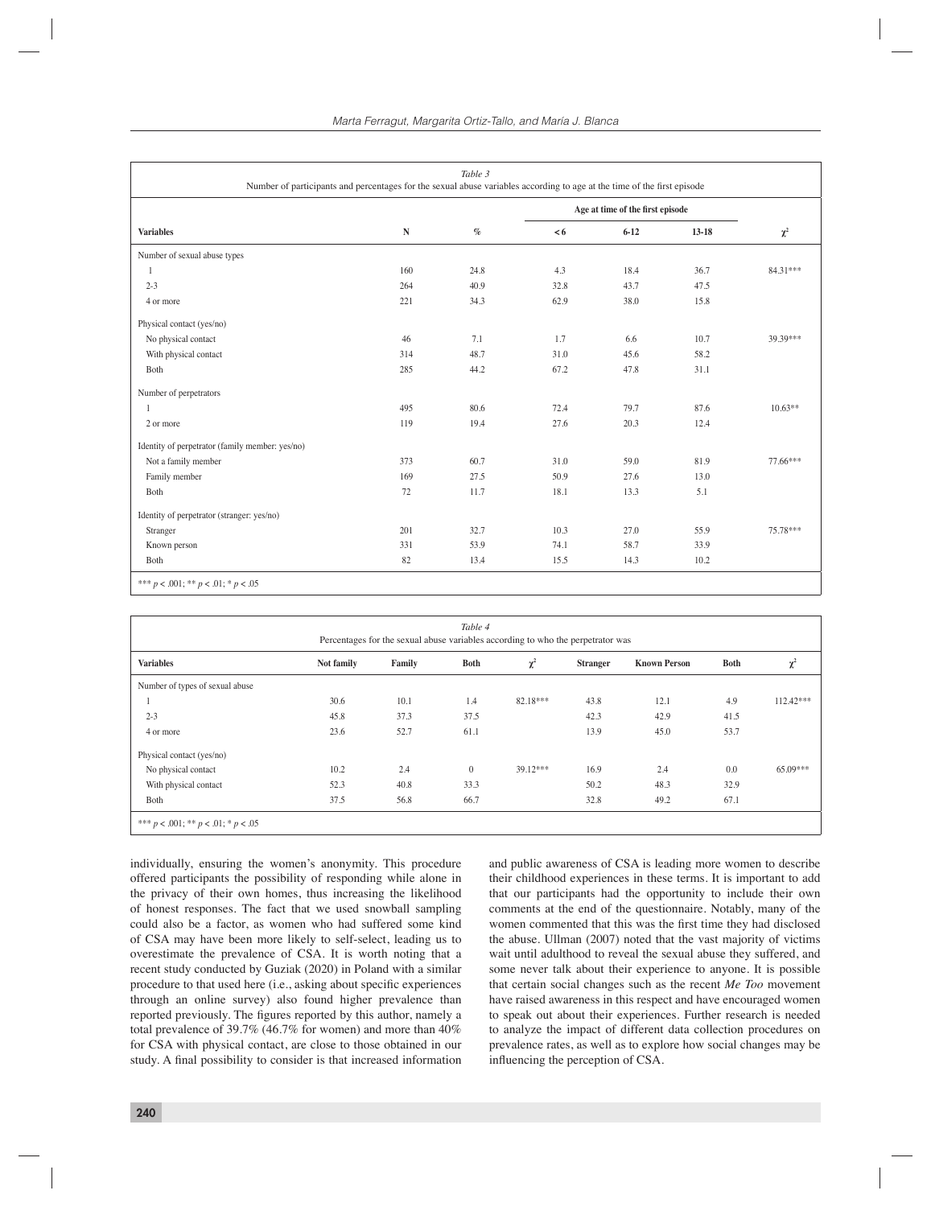| Table 3<br>Number of participants and percentages for the sexual abuse variables according to age at the time of the first episode |           |      |                                  |          |         |           |  |  |
|------------------------------------------------------------------------------------------------------------------------------------|-----------|------|----------------------------------|----------|---------|-----------|--|--|
|                                                                                                                                    |           |      | Age at time of the first episode |          |         |           |  |  |
| <b>Variables</b>                                                                                                                   | ${\bf N}$ | $\%$ | < 6                              | $6 - 12$ | $13-18$ | $\chi^2$  |  |  |
| Number of sexual abuse types                                                                                                       |           |      |                                  |          |         |           |  |  |
| 1                                                                                                                                  | 160       | 24.8 | 4.3                              | 18.4     | 36.7    | 84.31***  |  |  |
| $2 - 3$                                                                                                                            | 264       | 40.9 | 32.8                             | 43.7     | 47.5    |           |  |  |
| 4 or more                                                                                                                          | 221       | 34.3 | 62.9                             | 38.0     | 15.8    |           |  |  |
| Physical contact (yes/no)                                                                                                          |           |      |                                  |          |         |           |  |  |
| No physical contact                                                                                                                | 46        | 7.1  | 1.7                              | 6.6      | 10.7    | 39.39***  |  |  |
| With physical contact                                                                                                              | 314       | 48.7 | 31.0                             | 45.6     | 58.2    |           |  |  |
| Both                                                                                                                               | 285       | 44.2 | 67.2                             | 47.8     | 31.1    |           |  |  |
| Number of perpetrators                                                                                                             |           |      |                                  |          |         |           |  |  |
| 1                                                                                                                                  | 495       | 80.6 | 72.4                             | 79.7     | 87.6    | $10.63**$ |  |  |
| 2 or more                                                                                                                          | 119       | 19.4 | 27.6                             | 20.3     | 12.4    |           |  |  |
| Identity of perpetrator (family member: yes/no)                                                                                    |           |      |                                  |          |         |           |  |  |
| Not a family member                                                                                                                | 373       | 60.7 | 31.0                             | 59.0     | 81.9    | 77.66***  |  |  |
| Family member                                                                                                                      | 169       | 27.5 | 50.9                             | 27.6     | 13.0    |           |  |  |
| Both                                                                                                                               | 72        | 11.7 | 18.1                             | 13.3     | 5.1     |           |  |  |
| Identity of perpetrator (stranger: yes/no)                                                                                         |           |      |                                  |          |         |           |  |  |
| Stranger                                                                                                                           | 201       | 32.7 | 10.3                             | 27.0     | 55.9    | 75.78***  |  |  |
| Known person                                                                                                                       | 331       | 53.9 | 74.1                             | 58.7     | 33.9    |           |  |  |
| Both                                                                                                                               | 82        | 13.4 | 15.5                             | 14.3     | 10.2    |           |  |  |

| Table 4<br>Percentages for the sexual abuse variables according to who the perpetrator was |            |        |              |            |                 |                     |      |             |  |
|--------------------------------------------------------------------------------------------|------------|--------|--------------|------------|-----------------|---------------------|------|-------------|--|
| <b>Variables</b>                                                                           | Not family | Family | <b>Both</b>  | $\chi^2$   | <b>Stranger</b> | <b>Known Person</b> | Both | $\chi^2$    |  |
| Number of types of sexual abuse                                                            |            |        |              |            |                 |                     |      |             |  |
|                                                                                            | 30.6       | 10.1   | 1.4          | 82.18***   | 43.8            | 12.1                | 4.9  | $112.42***$ |  |
| $2 - 3$                                                                                    | 45.8       | 37.3   | 37.5         |            | 42.3            | 42.9                | 41.5 |             |  |
| 4 or more                                                                                  | 23.6       | 52.7   | 61.1         |            | 13.9            | 45.0                | 53.7 |             |  |
| Physical contact (yes/no)                                                                  |            |        |              |            |                 |                     |      |             |  |
| No physical contact                                                                        | 10.2       | 2.4    | $\mathbf{0}$ | $39.12***$ | 16.9            | 2.4                 | 0.0  | 65.09***    |  |
| With physical contact                                                                      | 52.3       | 40.8   | 33.3         |            | 50.2            | 48.3                | 32.9 |             |  |
| Both                                                                                       | 37.5       | 56.8   | 66.7         |            | 32.8            | 49.2                | 67.1 |             |  |
| *** $p < .001$ ; ** $p < .01$ ; * $p < .05$                                                |            |        |              |            |                 |                     |      |             |  |

individually, ensuring the women's anonymity. This procedure offered participants the possibility of responding while alone in the privacy of their own homes, thus increasing the likelihood of honest responses. The fact that we used snowball sampling could also be a factor, as women who had suffered some kind of CSA may have been more likely to self-select, leading us to overestimate the prevalence of CSA. It is worth noting that a recent study conducted by Guziak (2020) in Poland with a similar procedure to that used here (i.e., asking about specific experiences through an online survey) also found higher prevalence than reported previously. The figures reported by this author, namely a total prevalence of 39.7% (46.7% for women) and more than 40% for CSA with physical contact, are close to those obtained in our study. A final possibility to consider is that increased information and public awareness of CSA is leading more women to describe their childhood experiences in these terms. It is important to add that our participants had the opportunity to include their own comments at the end of the questionnaire. Notably, many of the women commented that this was the first time they had disclosed the abuse. Ullman (2007) noted that the vast majority of victims wait until adulthood to reveal the sexual abuse they suffered, and some never talk about their experience to anyone. It is possible that certain social changes such as the recent *Me Too* movement have raised awareness in this respect and have encouraged women to speak out about their experiences. Further research is needed to analyze the impact of different data collection procedures on prevalence rates, as well as to explore how social changes may be influencing the perception of CSA.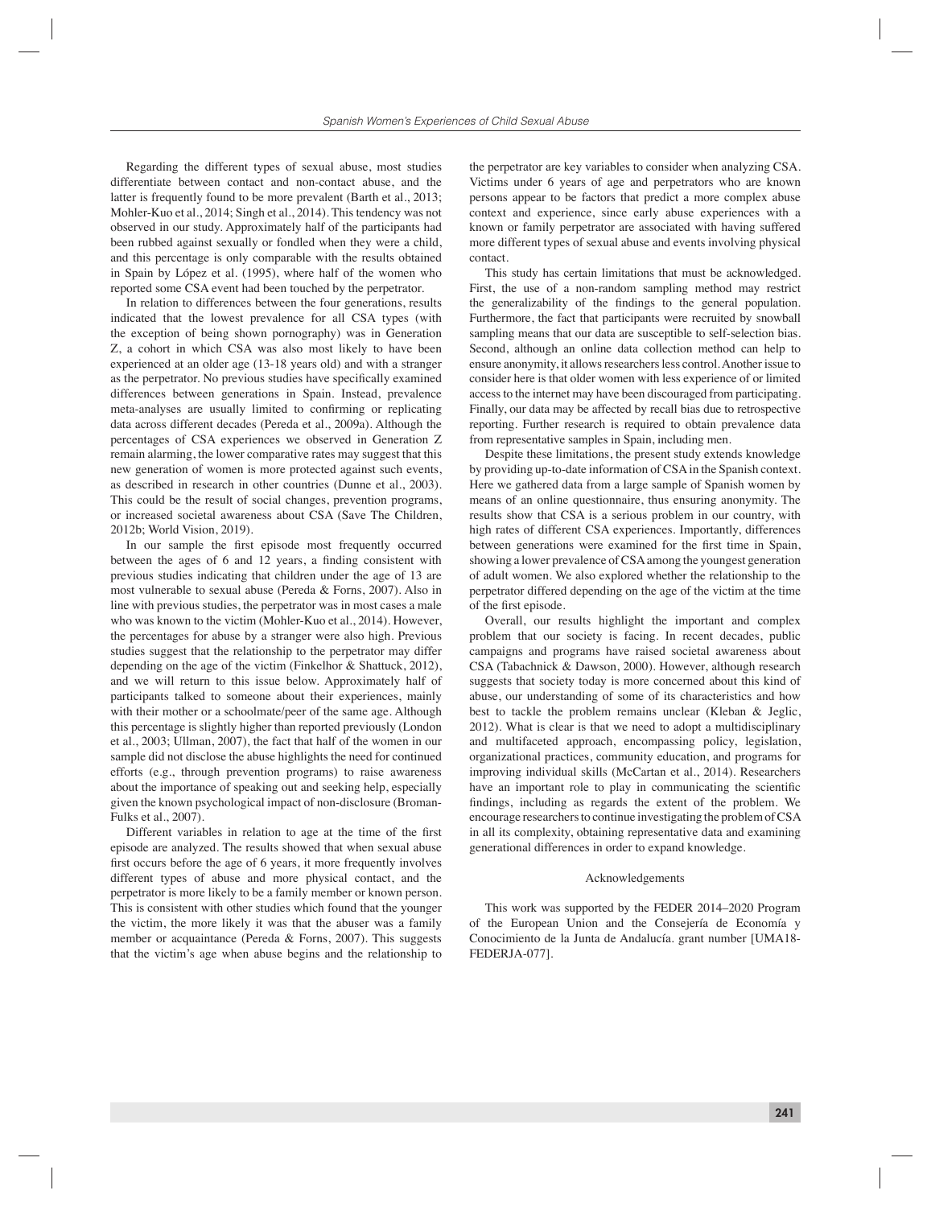Regarding the different types of sexual abuse, most studies differentiate between contact and non-contact abuse, and the latter is frequently found to be more prevalent (Barth et al., 2013; Mohler-Kuo et al., 2014; Singh et al., 2014). This tendency was not observed in our study. Approximately half of the participants had been rubbed against sexually or fondled when they were a child, and this percentage is only comparable with the results obtained in Spain by López et al. (1995), where half of the women who reported some CSA event had been touched by the perpetrator.

In relation to differences between the four generations, results indicated that the lowest prevalence for all CSA types (with the exception of being shown pornography) was in Generation Z, a cohort in which CSA was also most likely to have been experienced at an older age (13-18 years old) and with a stranger as the perpetrator. No previous studies have specifically examined differences between generations in Spain. Instead, prevalence meta-analyses are usually limited to confirming or replicating data across different decades (Pereda et al., 2009a). Although the percentages of CSA experiences we observed in Generation Z remain alarming, the lower comparative rates may suggest that this new generation of women is more protected against such events, as described in research in other countries (Dunne et al., 2003). This could be the result of social changes, prevention programs, or increased societal awareness about CSA (Save The Children, 2012b; World Vision, 2019).

In our sample the first episode most frequently occurred between the ages of 6 and 12 years, a finding consistent with previous studies indicating that children under the age of 13 are most vulnerable to sexual abuse (Pereda & Forns, 2007). Also in line with previous studies, the perpetrator was in most cases a male who was known to the victim (Mohler-Kuo et al., 2014). However, the percentages for abuse by a stranger were also high. Previous studies suggest that the relationship to the perpetrator may differ depending on the age of the victim (Finkelhor & Shattuck, 2012), and we will return to this issue below. Approximately half of participants talked to someone about their experiences, mainly with their mother or a schoolmate/peer of the same age. Although this percentage is slightly higher than reported previously (London et al., 2003; Ullman, 2007), the fact that half of the women in our sample did not disclose the abuse highlights the need for continued efforts (e.g., through prevention programs) to raise awareness about the importance of speaking out and seeking help, especially given the known psychological impact of non-disclosure (Broman-Fulks et al., 2007).

Different variables in relation to age at the time of the first episode are analyzed. The results showed that when sexual abuse first occurs before the age of 6 years, it more frequently involves different types of abuse and more physical contact, and the perpetrator is more likely to be a family member or known person. This is consistent with other studies which found that the younger the victim, the more likely it was that the abuser was a family member or acquaintance (Pereda & Forns, 2007). This suggests that the victim's age when abuse begins and the relationship to the perpetrator are key variables to consider when analyzing CSA. Victims under 6 years of age and perpetrators who are known persons appear to be factors that predict a more complex abuse context and experience, since early abuse experiences with a known or family perpetrator are associated with having suffered more different types of sexual abuse and events involving physical contact.

This study has certain limitations that must be acknowledged. First, the use of a non-random sampling method may restrict the generalizability of the findings to the general population. Furthermore, the fact that participants were recruited by snowball sampling means that our data are susceptible to self-selection bias. Second, although an online data collection method can help to ensure anonymity, it allows researchers less control. Another issue to consider here is that older women with less experience of or limited access to the internet may have been discouraged from participating. Finally, our data may be affected by recall bias due to retrospective reporting. Further research is required to obtain prevalence data from representative samples in Spain, including men.

Despite these limitations, the present study extends knowledge by providing up-to-date information of CSA in the Spanish context. Here we gathered data from a large sample of Spanish women by means of an online questionnaire, thus ensuring anonymity. The results show that CSA is a serious problem in our country, with high rates of different CSA experiences. Importantly, differences between generations were examined for the first time in Spain, showing a lower prevalence of CSA among the youngest generation of adult women. We also explored whether the relationship to the perpetrator differed depending on the age of the victim at the time of the first episode.

Overall, our results highlight the important and complex problem that our society is facing. In recent decades, public campaigns and programs have raised societal awareness about CSA (Tabachnick & Dawson, 2000). However, although research suggests that society today is more concerned about this kind of abuse, our understanding of some of its characteristics and how best to tackle the problem remains unclear (Kleban & Jeglic, 2012). What is clear is that we need to adopt a multidisciplinary and multifaceted approach, encompassing policy, legislation, organizational practices, community education, and programs for improving individual skills (McCartan et al., 2014). Researchers have an important role to play in communicating the scientific findings, including as regards the extent of the problem. We encourage researchers to continue investigating the problem of CSA in all its complexity, obtaining representative data and examining generational differences in order to expand knowledge.

#### Acknowledgements

This work was supported by the FEDER 2014–2020 Program of the European Union and the Consejería de Economía y Conocimiento de la Junta de Andalucía. grant number [UMA18- FEDERJA-077].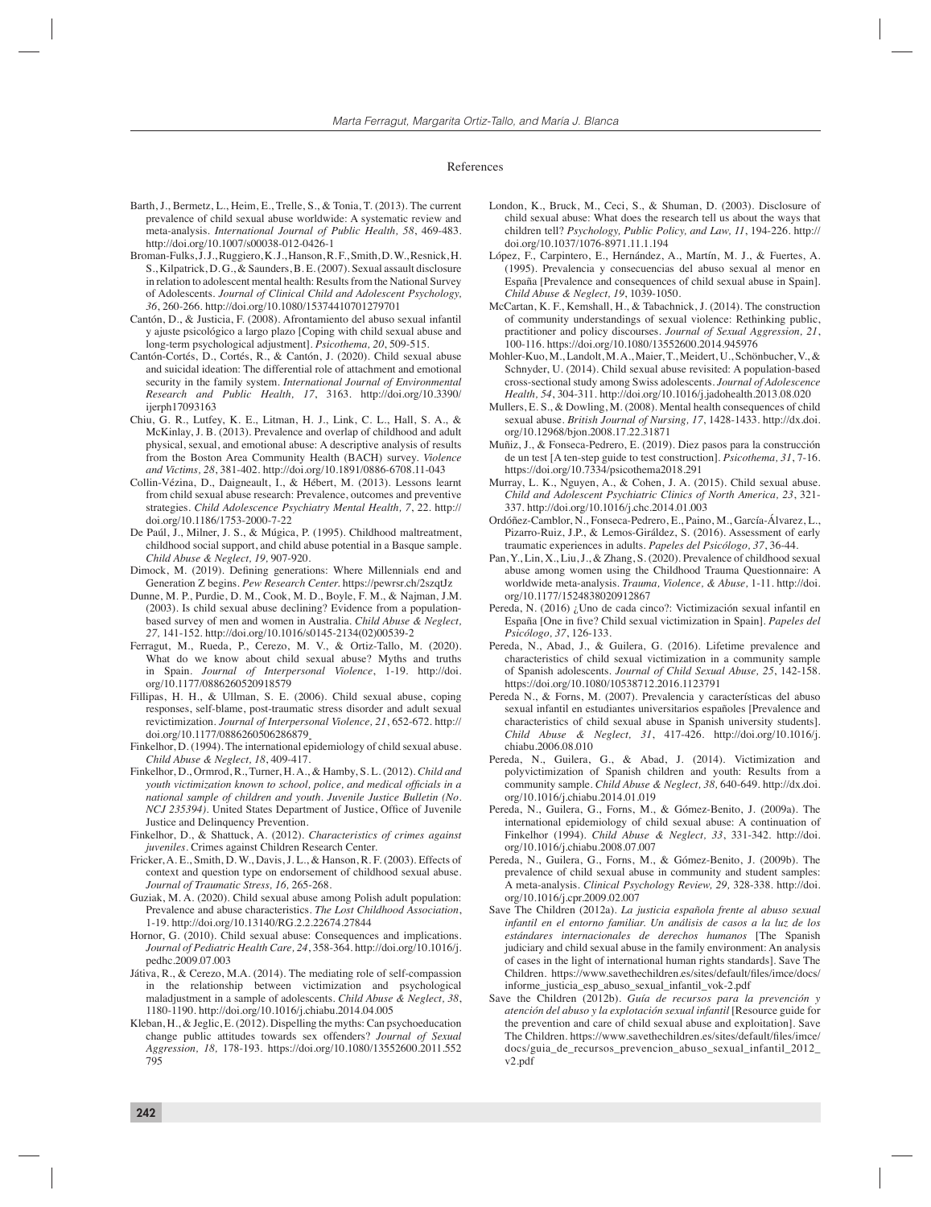#### References

- Barth, J., Bermetz, L., Heim, E., Trelle, S., & Tonia, T. (2013). The current prevalence of child sexual abuse worldwide: A systematic review and meta-analysis. *International Journal of Public Health, 58*, 469-483. http://doi.org/10.1007/s00038-012-0426-1
- Broman-Fulks, J. J., Ruggiero, K. J., Hanson, R. F., Smith, D. W., Resnick, H. S., Kilpatrick, D. G., & Saunders, B. E. (2007). Sexual assault disclosure in relation to adolescent mental health: Results from the National Survey of Adolescents. *Journal of Clinical Child and Adolescent Psychology, 36*, 260-266. http://doi.org/10.1080/15374410701279701
- Cantón, D., & Justicia, F. (2008). Afrontamiento del abuso sexual infantil y ajuste psicológico a largo plazo [Coping with child sexual abuse and long-term psychological adjustment]. *Psicothema, 20*, 509-515.
- Cantón-Cortés, D., Cortés, R., & Cantón, J. (2020). Child sexual abuse and suicidal ideation: The differential role of attachment and emotional security in the family system. *International Journal of Environmental Research and Public Health, 17*, 3163. http://doi.org/10.3390/ ijerph17093163
- Chiu, G. R., Lutfey, K. E., Litman, H. J., Link, C. L., Hall, S. A., & McKinlay, J. B. (2013). Prevalence and overlap of childhood and adult physical, sexual, and emotional abuse: A descriptive analysis of results from the Boston Area Community Health (BACH) survey. *Violence and Victims, 28*, 381-402. http://doi.org/10.1891/0886-6708.11-043
- Collin-Vézina, D., Daigneault, I., & Hébert, M. (2013). Lessons learnt from child sexual abuse research: Prevalence, outcomes and preventive strategies. *Child Adolescence Psychiatry Mental Health, 7*, 22. http:// doi.org/10.1186/1753-2000-7-22
- De Paúl, J., Milner, J. S., & Múgica, P. (1995). Childhood maltreatment, childhood social support, and child abuse potential in a Basque sample. *Child Abuse & Neglect, 19,* 907-920.
- Dimock, M. (2019). Defining generations: Where Millennials end and Generation Z begins. *Pew Research Center.* https://pewrsr.ch/2szqtJz
- Dunne, M. P., Purdie, D. M., Cook, M. D., Boyle, F. M., & Najman, J.M. (2003). Is child sexual abuse declining? Evidence from a populationbased survey of men and women in Australia. *Child Abuse & Neglect, 27,* 141-152. http://doi.org/10.1016/s0145-2134(02)00539-2
- Ferragut, M., Rueda, P., Cerezo, M. V., & Ortiz-Tallo, M. (2020). What do we know about child sexual abuse? Myths and truths in Spain. *Journal of Interpersonal Violence*, 1-19. http://doi. org/10.1177/0886260520918579
- Fillipas, H. H., & Ullman, S. E. (2006). Child sexual abuse, coping responses, self-blame, post-traumatic stress disorder and adult sexual revictimization. *Journal of Interpersonal Violence, 21*, 652-672. http:// doi.org/10.1177/0886260506286879
- Finkelhor, D. (1994). The international epidemiology of child sexual abuse. *Child Abuse & Neglect, 18*, 409-417.
- Finkelhor, D., Ormrod, R., Turner, H. A., & Hamby, S. L. (2012). *Child and youth victimization known to school, police, and medical officials in a national sample of children and youth. Juvenile Justice Bulletin (No. NCJ 235394*). United States Department of Justice, Office of Juvenile Justice and Delinquency Prevention.
- Finkelhor, D., & Shattuck, A. (2012). *Characteristics of crimes against juveniles*. Crimes against Children Research Center.
- Fricker, A. E., Smith, D. W., Davis, J. L., & Hanson, R. F. (2003). Effects of context and question type on endorsement of childhood sexual abuse. *Journal of Traumatic Stress, 16,* 265-268.
- Guziak, M. A. (2020). Child sexual abuse among Polish adult population: Prevalence and abuse characteristics. *The Lost Childhood Association*, 1-19. http://doi.org/10.13140/RG.2.2.22674.27844
- Hornor, G. (2010). Child sexual abuse: Consequences and implications. *Journal of Pediatric Health Care, 24*, 358-364. http://doi.org/10.1016/j. pedhc.2009.07.003
- Játiva, R., & Cerezo, M.A. (2014). The mediating role of self-compassion in the relationship between victimization and psychological maladjustment in a sample of adolescents. *Child Abuse & Neglect, 38*, 1180-1190. http://doi.org/10.1016/j.chiabu.2014.04.005
- Kleban, H., & Jeglic, E. (2012). Dispelling the myths: Can psychoeducation change public attitudes towards sex offenders? *Journal of Sexual Aggression, 18,* 178-193. https://doi.org/10.1080/13552600.2011.552 795
- London, K., Bruck, M., Ceci, S., & Shuman, D. (2003). Disclosure of child sexual abuse: What does the research tell us about the ways that children tell? *Psychology, Public Policy, and Law, 11*, 194-226. http:// doi.org/10.1037/1076-8971.11.1.194
- López, F., Carpintero, E., Hernández, A., Martín, M. J., & Fuertes, A. (1995). Prevalencia y consecuencias del abuso sexual al menor en España [Prevalence and consequences of child sexual abuse in Spain]. *Child Abuse & Neglect, 19*, 1039-1050.
- McCartan, K. F., Kemshall, H., & Tabachnick, J. (2014). The construction of community understandings of sexual violence: Rethinking public, practitioner and policy discourses. *Journal of Sexual Aggression, 21*, 100-116. https://doi.org/10.1080/13552600.2014.945976
- Mohler-Kuo, M., Landolt, M. A., Maier, T., Meidert, U., Schönbucher, V., & Schnyder, U. (2014). Child sexual abuse revisited: A population-based cross-sectional study among Swiss adolescents. *Journal of Adolescence Health, 54*, 304-311. http://doi.org/10.1016/j.jadohealth.2013.08.020
- Mullers, E. S., & Dowling, M. (2008). Mental health consequences of child sexual abuse. *British Journal of Nursing, 17*, 1428-1433. http://dx.doi. org/10.12968/bjon.2008.17.22.31871
- Muñiz, J., & Fonseca-Pedrero, E. (2019). Diez pasos para la construcción de un test [A ten-step guide to test construction]. *Psicothema, 31*, 7-16. https://doi.org/10.7334/psicothema2018.291
- Murray, L. K., Nguyen, A., & Cohen, J. A. (2015). Child sexual abuse. *Child and Adolescent Psychiatric Clinics of North America, 23*, 321- 337. http://doi.org/10.1016/j.chc.2014.01.003
- Ordóñez-Camblor, N., Fonseca-Pedrero, E., Paino, M., García-Álvarez, L., Pizarro-Ruiz, J.P., & Lemos-Giráldez, S. (2016). Assessment of early traumatic experiences in adults. *Papeles del Psicólogo, 37*, 36-44.
- Pan, Y., Lin, X., Liu, J., & Zhang, S. (2020). Prevalence of childhood sexual abuse among women using the Childhood Trauma Questionnaire: A worldwide meta-analysis. *Trauma, Violence, & Abuse,* 1-11. http://doi. org/10.1177/1524838020912867
- Pereda, N. (2016) ¿Uno de cada cinco?: Victimización sexual infantil en España [One in five? Child sexual victimization in Spain]. *Papeles del Psicólogo, 37*, 126-133.
- Pereda, N., Abad, J., & Guilera, G. (2016). Lifetime prevalence and characteristics of child sexual victimization in a community sample of Spanish adolescents. *Journal of Child Sexual Abuse, 25*, 142-158. https://doi.org/10.1080/10538712.2016.1123791
- Pereda N., & Forns, M. (2007). Prevalencia y características del abuso sexual infantil en estudiantes universitarios españoles [Prevalence and characteristics of child sexual abuse in Spanish university students]. *Child Abuse & Neglect, 31*, 417-426. http://doi.org/10.1016/j. chiabu.2006.08.010
- Pereda, N., Guilera, G., & Abad, J. (2014). Victimization and polyvictimization of Spanish children and youth: Results from a community sample. *Child Abuse & Neglect, 38,* 640-649. http://dx.doi. org/10.1016/j.chiabu.2014.01.019
- Pereda, N., Guilera, G., Forns, M., & Gómez-Benito, J. (2009a). The international epidemiology of child sexual abuse: A continuation of Finkelhor (1994). *Child Abuse & Neglect, 33*, 331-342. http://doi. org/10.1016/j.chiabu.2008.07.007
- Pereda, N., Guilera, G., Forns, M., & Gómez-Benito, J. (2009b). The prevalence of child sexual abuse in community and student samples: A meta-analysis. *Clinical Psychology Review, 29,* 328-338. http://doi. org/10.1016/j.cpr.2009.02.007
- Save The Children (2012a). *La justicia española frente al abuso sexual infantil en el entorno familiar. Un análisis de casos a la luz de los estándares internacionales de derechos humanos* [The Spanish judiciary and child sexual abuse in the family environment: An analysis of cases in the light of international human rights standards]*.* Save The Children. https://www.savethechildren.es/sites/default/files/imce/docs/ informe\_justicia\_esp\_abuso\_sexual\_infantil\_vok-2.pdf
- Save the Children (2012b). *Guía de recursos para la prevención y atención del abuso y la explotación sexual infantil* [Resource guide for the prevention and care of child sexual abuse and exploitation]. Save The Children. https://www.savethechildren.es/sites/default/files/imce/ docs/guia\_de\_recursos\_prevencion\_abuso\_sexual\_infantil\_2012\_ v2.pdf